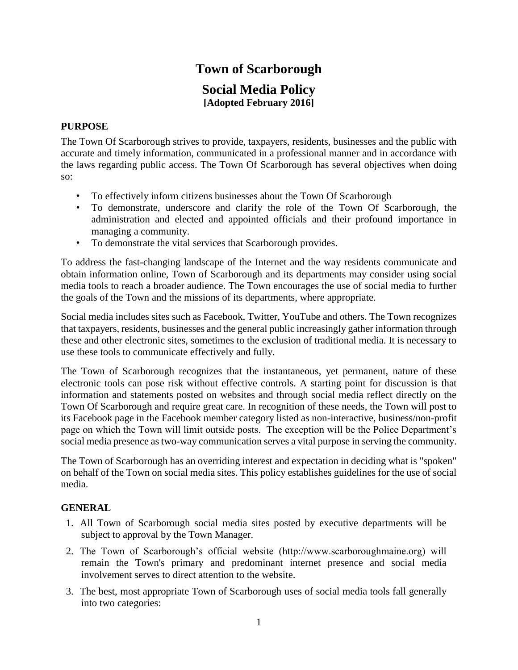## **Town of Scarborough Social Media Policy**

## **[Adopted February 2016]**

## **PURPOSE**

The Town Of Scarborough strives to provide, taxpayers, residents, businesses and the public with accurate and timely information, communicated in a professional manner and in accordance with the laws regarding public access. The Town Of Scarborough has several objectives when doing so:

- To effectively inform citizens businesses about the Town Of Scarborough
- To demonstrate, underscore and clarify the role of the Town Of Scarborough, the administration and elected and appointed officials and their profound importance in managing a community.
- To demonstrate the vital services that Scarborough provides.

To address the fast-changing landscape of the Internet and the way residents communicate and obtain information online, Town of Scarborough and its departments may consider using social media tools to reach a broader audience. The Town encourages the use of social media to further the goals of the Town and the missions of its departments, where appropriate.

Social media includes sites such as Facebook, Twitter, YouTube and others. The Town recognizes that taxpayers, residents, businesses and the general public increasingly gather information through these and other electronic sites, sometimes to the exclusion of traditional media. It is necessary to use these tools to communicate effectively and fully.

The Town of Scarborough recognizes that the instantaneous, yet permanent, nature of these electronic tools can pose risk without effective controls. A starting point for discussion is that information and statements posted on websites and through social media reflect directly on the Town Of Scarborough and require great care. In recognition of these needs, the Town will post to its Facebook page in the Facebook member category listed as non-interactive, business/non-profit page on which the Town will limit outside posts. The exception will be the Police Department's social media presence as two-way communication serves a vital purpose in serving the community.

The Town of Scarborough has an overriding interest and expectation in deciding what is "spoken" on behalf of the Town on social media sites. This policy establishes guidelines for the use of social media.

## **GENERAL**

- 1. All Town of Scarborough social media sites posted by executive departments will be subject to approval by the Town Manager.
- 2. The Town of Scarborough's official website (http://www.scarboroughmaine.org) will remain the Town's primary and predominant internet presence and social media involvement serves to direct attention to the website.
- 3. The best, most appropriate Town of Scarborough uses of social media tools fall generally into two categories: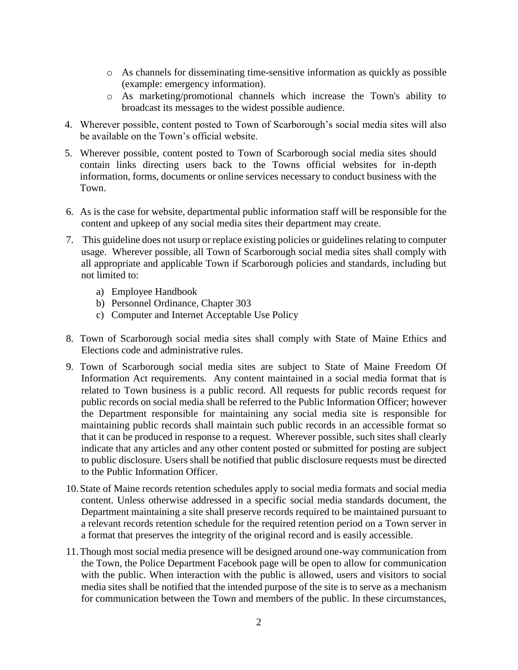- o As channels for disseminating time-sensitive information as quickly as possible (example: emergency information).
- o As marketing/promotional channels which increase the Town's ability to broadcast its messages to the widest possible audience.
- 4. Wherever possible, content posted to Town of Scarborough's social media sites will also be available on the Town's official website.
- 5. Wherever possible, content posted to Town of Scarborough social media sites should contain links directing users back to the Towns official websites for in-depth information, forms, documents or online services necessary to conduct business with the Town.
- 6. As is the case for website, departmental public information staff will be responsible for the content and upkeep of any social media sites their department may create.
- 7. This guideline does not usurp or replace existing policies or guidelines relating to computer usage. Wherever possible, all Town of Scarborough social media sites shall comply with all appropriate and applicable Town if Scarborough policies and standards, including but not limited to:
	- a) Employee Handbook
	- b) Personnel Ordinance, Chapter 303
	- c) [Computer and Internet Acceptable Use Policy](http://www.seattle.gov/pan/internetuse.htm)
- 8. Town of Scarborough social media sites shall comply with State of Maine Ethics and Elections code and administrative rules.
- 9. Town of Scarborough social media sites are subject to State of Maine Freedom Of Information Act requirements. Any content maintained in a social media format that is related to Town business is a public record. All requests for public records request for public records on social media shall be referred to the Public Information Officer; however the Department responsible for maintaining any social media site is responsible for maintaining public records shall maintain such public records in an accessible format so that it can be produced in response to a request. Wherever possible, such sites shall clearly indicate that any articles and any other content posted or submitted for posting are subject to public disclosure. Users shall be notified that public disclosure requests must be directed to the Public Information Officer.
- 10.State of Maine records retention schedules apply to social media formats and social media content. Unless otherwise addressed in a specific social media standards document, the Department maintaining a site shall preserve records required to be maintained pursuant to a relevant records retention schedule for the required retention period on a Town server in a format that preserves the integrity of the original record and is easily accessible.
- 11.Though most social media presence will be designed around one-way communication from the Town, the Police Department Facebook page will be open to allow for communication with the public. When interaction with the public is allowed, users and visitors to social media sites shall be notified that the intended purpose of the site is to serve as a mechanism for communication between the Town and members of the public. In these circumstances,